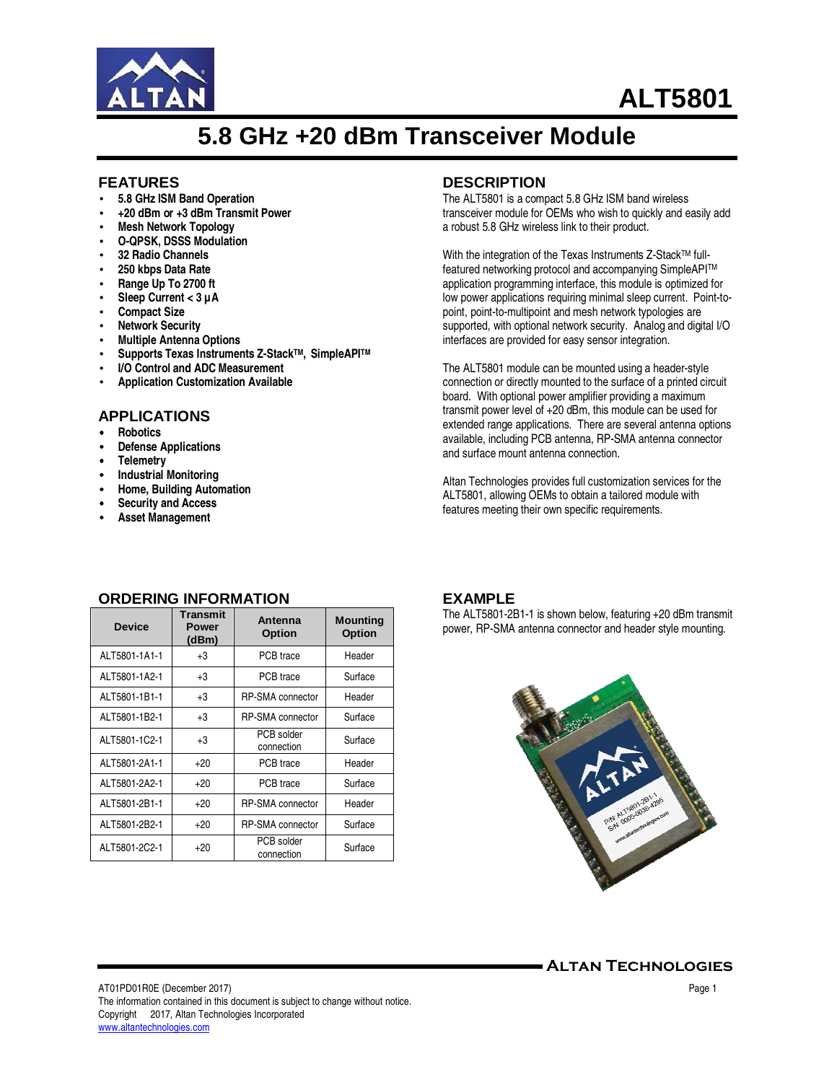

# **ALT5801**

## **5.8 GHz +20 dBm Transceiver Module**

#### **FEATURES**

- **5.8 GHz ISM Band Operation**
- **+20 dBm or +3 dBm Transmit Power**
- **Mesh Network Topology**
- **O-QPSK, DSSS Modulation**
- **32 Radio Channels**
- **250 kbps Data Rate**
- **Range Up To 2700 ft**
- **Sleep Current < 3 µA**
- **Compact Size**
- **Network Security**
- **Multiple Antenna Options**
- **Supports Texas Instruments Z-StackTM, SimpleAPITM**
- **I/O Control and ADC Measurement**
- **Application Customization Available**

#### **APPLICATIONS**

- **Robotics**
- **Defense Applications**
- **Telemetry**
- **Industrial Monitoring**
- **Home, Building Automation**
- **Security and Access**
- **Asset Management**

#### **DESCRIPTION**

The ALT5801 is a compact 5.8 GHz ISM band wireless transceiver module for OEMs who wish to quickly and easily add a robust 5.8 GHz wireless link to their product.

With the integration of the Texas Instruments Z-Stack™ fullfeatured networking protocol and accompanying SimpleAPITM application programming interface, this module is optimized for low power applications requiring minimal sleep current. Point-topoint, point-to-multipoint and mesh network typologies are supported, with optional network security. Analog and digital I/O interfaces are provided for easy sensor integration.

The ALT5801 module can be mounted using a header-style connection or directly mounted to the surface of a printed circuit board. With optional power amplifier providing a maximum transmit power level of +20 dBm, this module can be used for extended range applications. There are several antenna options available, including PCB antenna, RP-SMA antenna connector and surface mount antenna connection.

Altan Technologies provides full customization services for the ALT5801, allowing OEMs to obtain a tailored module with features meeting their own specific requirements.

| <b>Device</b> | Transmit<br><b>Power</b><br>(dBm) | Antenna<br><b>Option</b> | <b>Mounting</b><br><b>Option</b> |
|---------------|-----------------------------------|--------------------------|----------------------------------|
| ALT5801-1A1-1 | $+3$                              | PCB trace                | Header                           |
| ALT5801-1A2-1 | $+3$                              | PCB trace                | Surface                          |
| ALT5801-1B1-1 | $+3$                              | <b>RP-SMA</b> connector  | Header                           |
| ALT5801-1B2-1 | $+3$                              | <b>RP-SMA</b> connector  | Surface                          |
| ALT5801-1C2-1 | $+3$                              | PCB solder<br>connection | Surface                          |
| ALT5801-2A1-1 | $+20$                             | PCB trace                | Header                           |
| ALT5801-2A2-1 | $+20$                             | PCB trace                | Surface                          |
| ALT5801-2B1-1 | $+20$                             | <b>RP-SMA</b> connector  | Header                           |
| ALT5801-2B2-1 | $+20$                             | <b>RP-SMA</b> connector  | Surface                          |
| ALT5801-2C2-1 | $+20$                             | PCB solder<br>connection | Surface                          |

#### **ORDERING INFORMATION**

#### **EXAMPLE**

The ALT5801-2B1-1 is shown below, featuring +20 dBm transmit power, RP-SMA antenna connector and header style mounting.



Altan Technologies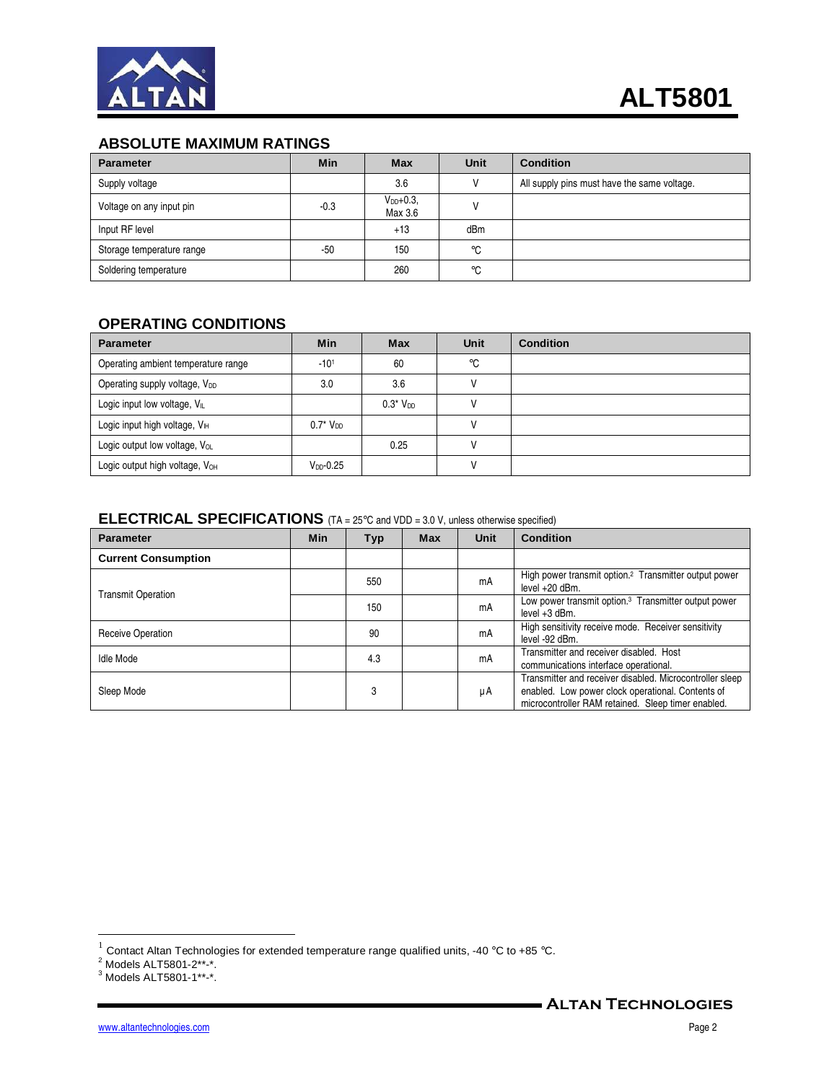

## **ABSOLUTE MAXIMUM RATINGS**

| <b>Parameter</b>          | Min    | <b>Max</b>              | Unit            | <b>Condition</b>                            |
|---------------------------|--------|-------------------------|-----------------|---------------------------------------------|
| Supply voltage            |        | 3.6                     |                 | All supply pins must have the same voltage. |
| Voltage on any input pin  | $-0.3$ | $V_{DD}+0.3$<br>Max 3.6 |                 |                                             |
| Input RF level            |        | $+13$                   | dB <sub>m</sub> |                                             |
| Storage temperature range | $-50$  | 150                     | $^{\circ}$ C    |                                             |
| Soldering temperature     |        | 260                     | $^{\circ}$ C    |                                             |

### **OPERATING CONDITIONS**

| <b>Parameter</b>                           | Min                     | <b>Max</b>   | <b>Unit</b> | <b>Condition</b> |
|--------------------------------------------|-------------------------|--------------|-------------|------------------|
| Operating ambient temperature range        | $-101$                  | 60           | °C          |                  |
| Operating supply voltage, V <sub>DD</sub>  | 3.0                     | 3.6          |             |                  |
| Logic input low voltage, VL                |                         | $0.3*V_{DD}$ |             |                  |
| Logic input high voltage, $V_{\text{H}}$   | $0.7^*$ V <sub>DD</sub> |              |             |                  |
| Logic output low voltage, Vol.             |                         | 0.25         |             |                  |
| Logic output high voltage, V <sub>OH</sub> | $V_{DD}$ -0.25          |              |             |                  |

## **ELECTRICAL SPECIFICATIONS** (TA = 25°C and VDD = 3.0 V, unless otherwise specified)

| <b>Parameter</b>           | <b>Min</b> | Typ | Max | Unit | <b>Condition</b>                                                                                                                                                    |
|----------------------------|------------|-----|-----|------|---------------------------------------------------------------------------------------------------------------------------------------------------------------------|
| <b>Current Consumption</b> |            |     |     |      |                                                                                                                                                                     |
| <b>Transmit Operation</b>  |            | 550 |     | mA   | High power transmit option. <sup>2</sup> Transmitter output power<br>level $+20$ dBm.                                                                               |
|                            |            | 150 |     | mA   | Low power transmit option. <sup>3</sup> Transmitter output power<br>level +3 dBm.                                                                                   |
| <b>Receive Operation</b>   |            | 90  |     | mA   | High sensitivity receive mode. Receiver sensitivity<br>level -92 dBm.                                                                                               |
| Idle Mode                  |            | 4.3 |     | mA   | Transmitter and receiver disabled. Host<br>communications interface operational.                                                                                    |
| Sleep Mode                 |            | 3   |     | μA   | Transmitter and receiver disabled. Microcontroller sleep<br>enabled. Low power clock operational. Contents of<br>microcontroller RAM retained. Sleep timer enabled. |

 1 Contact Altan Technologies for extended temperature range qualified units, -40 °C to +85 °C. 2 Models ALT5801-2\*\*-\*. 3 Models ALT5801-1\*\*-\*.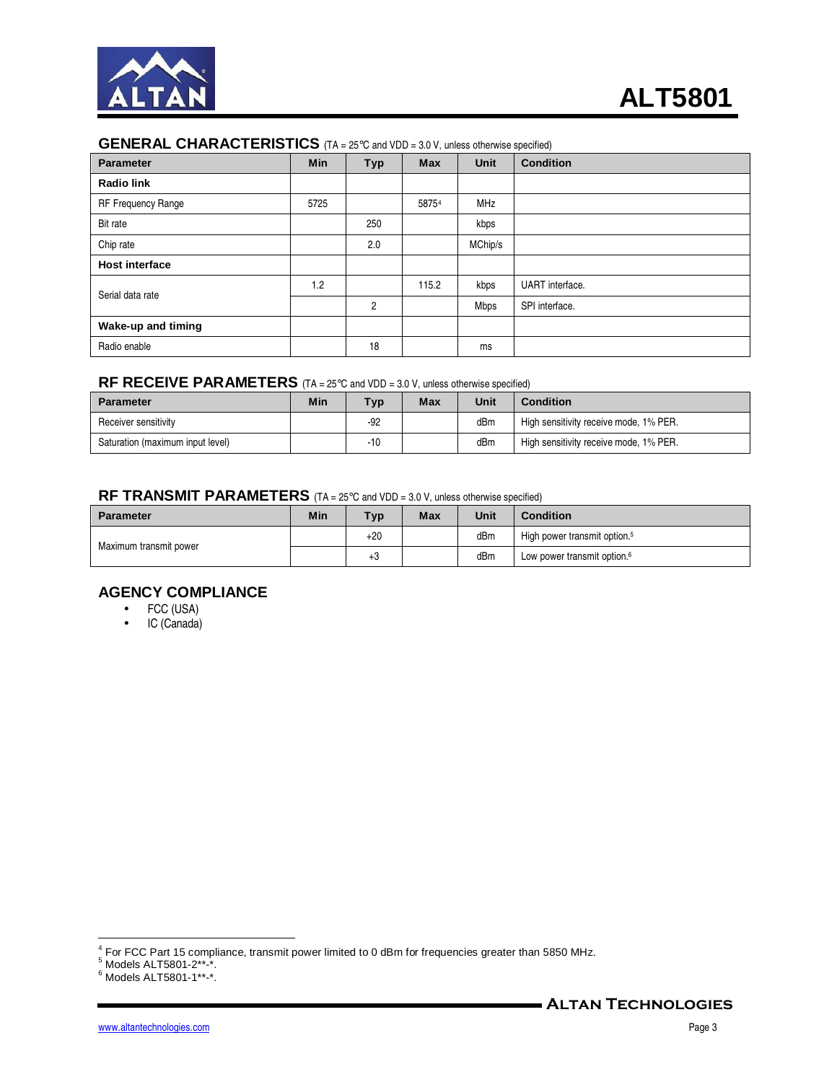

#### **GENERAL CHARACTERISTICS** (TA = 25°C and VDD = 3.0 V, unless otherwise specified)

| <b>Parameter</b>      | <b>Min</b> | <b>Typ</b>     | <b>Max</b> | <b>Unit</b> | <b>Condition</b> |
|-----------------------|------------|----------------|------------|-------------|------------------|
| <b>Radio link</b>     |            |                |            |             |                  |
| RF Frequency Range    | 5725       |                | 58754      | MHz         |                  |
| Bit rate              |            | 250            |            | kbps        |                  |
| Chip rate             |            | 2.0            |            | MChip/s     |                  |
| <b>Host interface</b> |            |                |            |             |                  |
| Serial data rate      | 1.2        |                | 115.2      | kbps        | UART interface.  |
|                       |            | $\overline{c}$ |            | Mbps        | SPI interface.   |
| Wake-up and timing    |            |                |            |             |                  |
| Radio enable          |            | 18             |            | ms          |                  |

## **RF RECEIVE PARAMETERS** (TA = 25°C and VDD = 3.0 V, unless otherwise specified)

| <b>Parameter</b>                 | Min | <b>Typ</b> | Max | Unit | <b>Condition</b>                       |
|----------------------------------|-----|------------|-----|------|----------------------------------------|
| Receiver sensitivity             |     | -92        |     | dBm  | High sensitivity receive mode, 1% PER. |
| Saturation (maximum input level) |     | $-10$      |     | dBm  | High sensitivity receive mode, 1% PER. |

#### **RF TRANSMIT PARAMETERS** (TA = 25°C and VDD = 3.0 V, unless otherwise specified)

| <b>Parameter</b>       | Min | Typ.  | <b>Max</b> | Unit | <b>Condition</b>                         |
|------------------------|-----|-------|------------|------|------------------------------------------|
| Maximum transmit power |     | $+20$ |            | dBm  | High power transmit option. <sup>5</sup> |
|                        |     | $+3$  |            | dBm  | Low power transmit option. <sup>6</sup>  |

#### **AGENCY COMPLIANCE**

- FCC (USA)
- IC (Canada)

 4 For FCC Part 15 compliance, transmit power limited to 0 dBm for frequencies greater than 5850 MHz.

<sup>5</sup> Models ALT5801-2\*\*-\*.

<sup>6</sup> Models ALT5801-1\*\*-\*.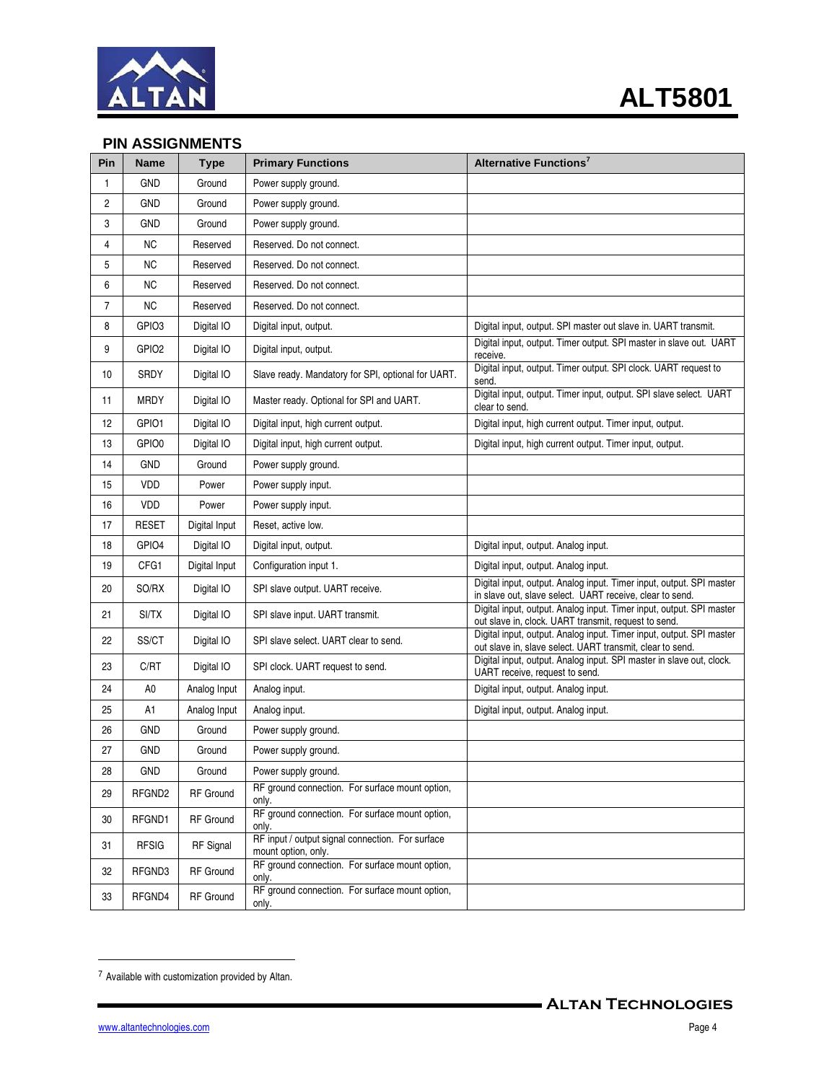

## **PIN ASSIGNMENTS**

| Pin            | <b>Name</b>       | <b>Type</b>      | <b>Primary Functions</b>                                                | Alternative Functions <sup>7</sup>                                                                                                |
|----------------|-------------------|------------------|-------------------------------------------------------------------------|-----------------------------------------------------------------------------------------------------------------------------------|
| 1              | <b>GND</b>        | Ground           | Power supply ground.                                                    |                                                                                                                                   |
| $\overline{c}$ | <b>GND</b>        | Ground           | Power supply ground.                                                    |                                                                                                                                   |
| 3              | <b>GND</b>        | Ground           | Power supply ground.                                                    |                                                                                                                                   |
| 4              | <b>NC</b>         | Reserved         | Reserved. Do not connect.                                               |                                                                                                                                   |
| 5              | <b>NC</b>         | Reserved         | Reserved. Do not connect.                                               |                                                                                                                                   |
| 6              | <b>NC</b>         | Reserved         | Reserved. Do not connect.                                               |                                                                                                                                   |
| $\overline{7}$ | NC                | Reserved         | Reserved. Do not connect.                                               |                                                                                                                                   |
| 8              | GPIO3             | Digital IO       | Digital input, output.                                                  | Digital input, output. SPI master out slave in. UART transmit.                                                                    |
| 9              | GPIO <sub>2</sub> | Digital IO       | Digital input, output.                                                  | Digital input, output. Timer output. SPI master in slave out. UART<br>receive.                                                    |
| 10             | SRDY              | Digital IO       | Slave ready. Mandatory for SPI, optional for UART.                      | Digital input, output. Timer output. SPI clock. UART request to<br>send.                                                          |
| 11             | <b>MRDY</b>       | Digital IO       | Master ready. Optional for SPI and UART.                                | Digital input, output. Timer input, output. SPI slave select. UART<br>clear to send.                                              |
| 12             | GPIO1             | Digital IO       | Digital input, high current output.                                     | Digital input, high current output. Timer input, output.                                                                          |
| 13             | GPIO0             | Digital IO       | Digital input, high current output.                                     | Digital input, high current output. Timer input, output.                                                                          |
| 14             | <b>GND</b>        | Ground           | Power supply ground.                                                    |                                                                                                                                   |
| 15             | <b>VDD</b>        | Power            | Power supply input.                                                     |                                                                                                                                   |
| 16             | VDD               | Power            | Power supply input.                                                     |                                                                                                                                   |
| 17             | <b>RESET</b>      | Digital Input    | Reset, active low.                                                      |                                                                                                                                   |
| 18             | GPIO4             | Digital IO       | Digital input, output.                                                  | Digital input, output. Analog input.                                                                                              |
| 19             | CFG1              | Digital Input    | Configuration input 1.                                                  | Digital input, output. Analog input.                                                                                              |
| 20             | SO/RX             | Digital IO       | SPI slave output. UART receive.                                         | Digital input, output. Analog input. Timer input, output. SPI master<br>in slave out, slave select. UART receive, clear to send.  |
| 21             | SI/TX             | Digital IO       | SPI slave input. UART transmit.                                         | Digital input, output. Analog input. Timer input, output. SPI master<br>out slave in, clock. UART transmit, request to send.      |
| 22             | SS/CT             | Digital IO       | SPI slave select. UART clear to send.                                   | Digital input, output. Analog input. Timer input, output. SPI master<br>out slave in, slave select. UART transmit, clear to send. |
| 23             | C/RT              | Digital IO       | SPI clock. UART request to send.                                        | Digital input, output. Analog input. SPI master in slave out, clock.<br>UART receive, request to send.                            |
| 24             | A0                | Analog Input     | Analog input.                                                           | Digital input, output. Analog input.                                                                                              |
| 25             | A1                | Analog Input     | Analog input.                                                           | Digital input, output. Analog input.                                                                                              |
| 26             | <b>GND</b>        | Ground           | Power supply ground.                                                    |                                                                                                                                   |
| 27             | <b>GND</b>        | Ground           | Power supply ground.                                                    |                                                                                                                                   |
| 28             | GND               | Ground           | Power supply ground.                                                    |                                                                                                                                   |
| 29             | RFGND2            | RF Ground        | RF ground connection. For surface mount option,<br>only.                |                                                                                                                                   |
| 30             | RFGND1            | RF Ground        | RF ground connection. For surface mount option,<br>only.                |                                                                                                                                   |
| 31             | <b>RFSIG</b>      | <b>RF</b> Signal | RF input / output signal connection. For surface<br>mount option, only. |                                                                                                                                   |
| 32             | RFGND3            | <b>RF</b> Ground | RF ground connection. For surface mount option,<br>only.                |                                                                                                                                   |
| 33             | RFGND4            | RF Ground        | RF ground connection. For surface mount option,<br>only.                |                                                                                                                                   |

<u>.</u>

<sup>7</sup> Available with customization provided by Altan.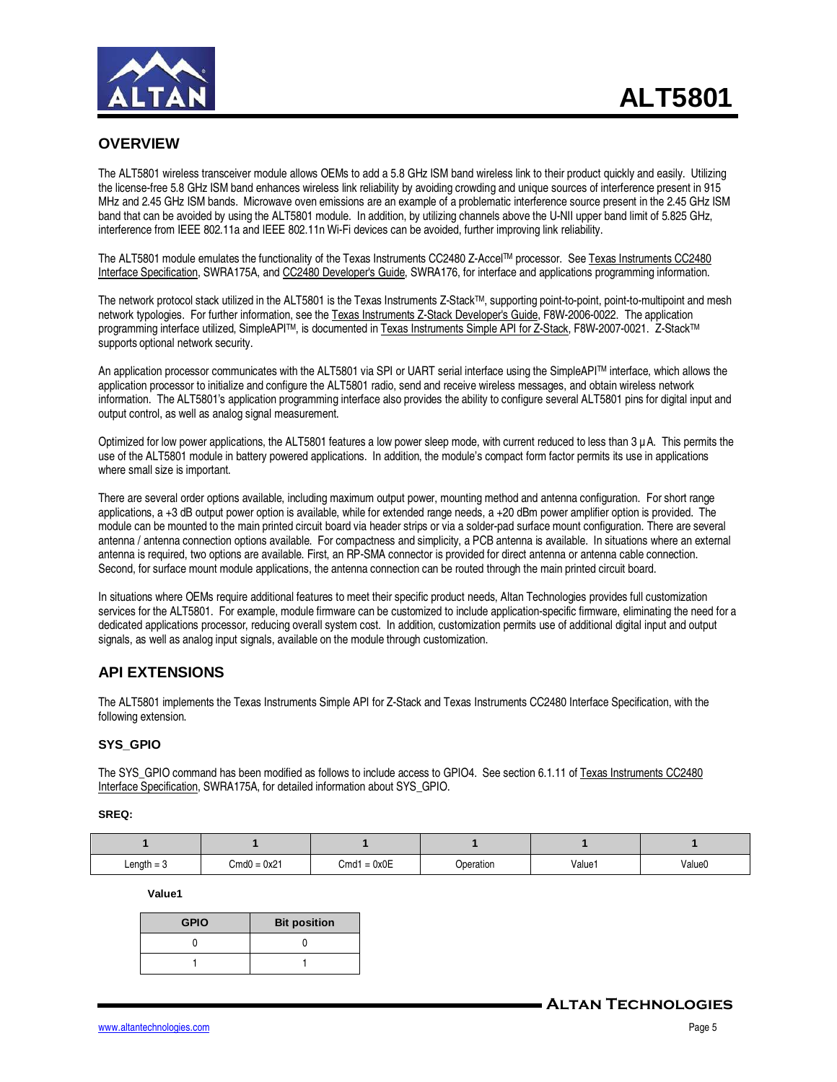

#### **OVERVIEW**

The ALT5801 wireless transceiver module allows OEMs to add a 5.8 GHz ISM band wireless link to their product quickly and easily. Utilizing the license-free 5.8 GHz ISM band enhances wireless link reliability by avoiding crowding and unique sources of interference present in 915 MHz and 2.45 GHz ISM bands. Microwave oven emissions are an example of a problematic interference source present in the 2.45 GHz ISM band that can be avoided by using the ALT5801 module. In addition, by utilizing channels above the U-NII upper band limit of 5.825 GHz, interference from IEEE 802.11a and IEEE 802.11n Wi-Fi devices can be avoided, further improving link reliability.

The ALT5801 module emulates the functionality of the Texas Instruments CC2480 Z-AccelTM processor. See Texas Instruments CC2480 Interface Specification, SWRA175A, and CC2480 Developer's Guide, SWRA176, for interface and applications programming information.

The network protocol stack utilized in the ALT5801 is the Texas Instruments Z-Stack<sup>TM</sup>, supporting point-to-point, point-to-multipoint and mesh network typologies. For further information, see the Texas Instruments Z-Stack Developer's Guide, F8W-2006-0022. The application programming interface utilized, SimpleAPI™, is documented in Texas Instruments Simple API for Z-Stack, F8W-2007-0021. Z-Stack™ supports optional network security.

An application processor communicates with the ALT5801 via SPI or UART serial interface using the SimpleAPITM interface, which allows the application processor to initialize and configure the ALT5801 radio, send and receive wireless messages, and obtain wireless network information. The ALT5801's application programming interface also provides the ability to configure several ALT5801 pins for digital input and output control, as well as analog signal measurement.

Optimized for low power applications, the ALT5801 features a low power sleep mode, with current reduced to less than  $3 \mu$ A. This permits the use of the ALT5801 module in battery powered applications. In addition, the module's compact form factor permits its use in applications where small size is important.

There are several order options available, including maximum output power, mounting method and antenna configuration. For short range applications, a +3 dB output power option is available, while for extended range needs, a +20 dBm power amplifier option is provided. The module can be mounted to the main printed circuit board via header strips or via a solder-pad surface mount configuration. There are several antenna / antenna connection options available. For compactness and simplicity, a PCB antenna is available. In situations where an external antenna is required, two options are available. First, an RP-SMA connector is provided for direct antenna or antenna cable connection. Second, for surface mount module applications, the antenna connection can be routed through the main printed circuit board.

In situations where OEMs require additional features to meet their specific product needs, Altan Technologies provides full customization services for the ALT5801. For example, module firmware can be customized to include application-specific firmware, eliminating the need for a dedicated applications processor, reducing overall system cost. In addition, customization permits use of additional digital input and output signals, as well as analog input signals, available on the module through customization.

#### **API EXTENSIONS**

The ALT5801 implements the Texas Instruments Simple API for Z-Stack and Texas Instruments CC2480 Interface Specification, with the following extension.

#### **SYS\_GPIO**

The SYS\_GPIO command has been modified as follows to include access to GPIO4. See section 6.1.11 of Texas Instruments CC2480 Interface Specification, SWRA175A, for detailed information about SYS\_GPIO.

#### **SREQ:**

| $Length = 3$ | $Cmd0 = 0x21$ | $= 0x0E$<br>Cmd1 | <b>Dperation</b> | Value1 | Value0 |
|--------------|---------------|------------------|------------------|--------|--------|

**Value1** 

| <b>GPIO</b> | <b>Bit position</b> |
|-------------|---------------------|
|             |                     |
|             |                     |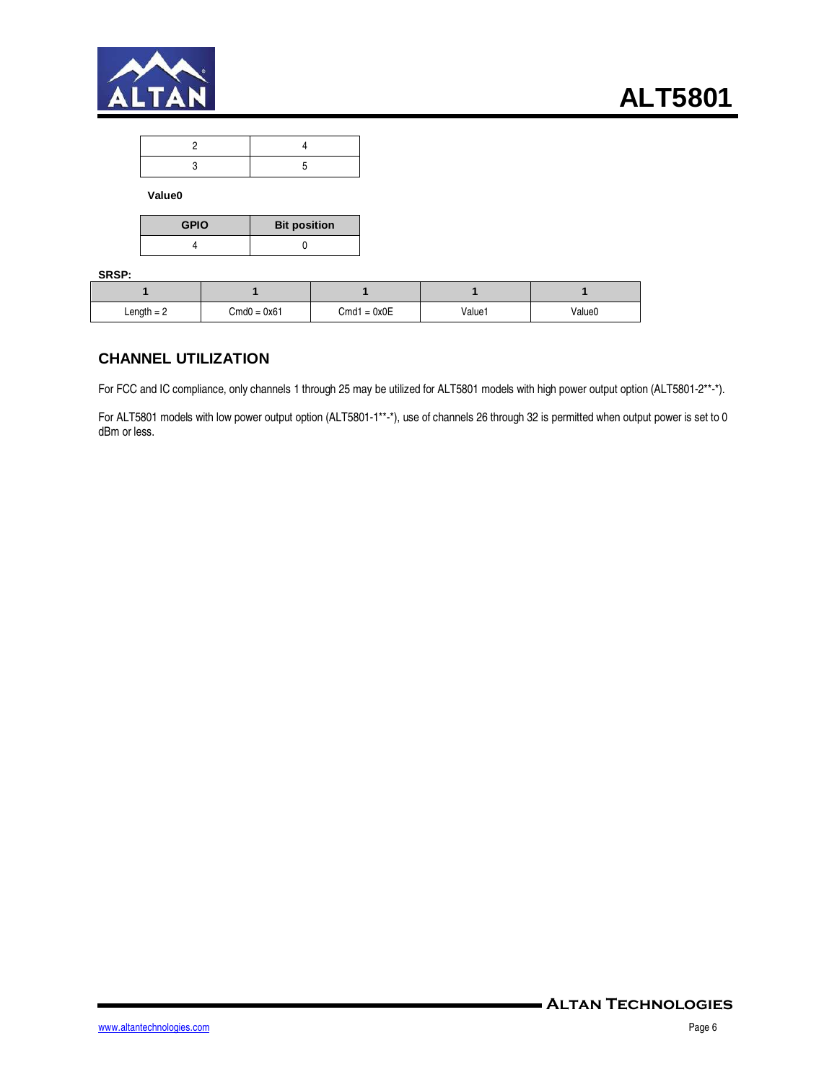

**Value0** 

| <b>GPIO</b> | <b>Bit position</b> |
|-------------|---------------------|
|             |                     |

**SRSP:** 

| Length $= 2$ | $Cmd0 = 0x61$ | $Cmd1 = 0x0E$ | Value1 | Value0 |
|--------------|---------------|---------------|--------|--------|

#### **CHANNEL UTILIZATION**

For FCC and IC compliance, only channels 1 through 25 may be utilized for ALT5801 models with high power output option (ALT5801-2\*\*-\*).

For ALT5801 models with low power output option (ALT5801-1\*\*-\*), use of channels 26 through 32 is permitted when output power is set to 0 dBm or less.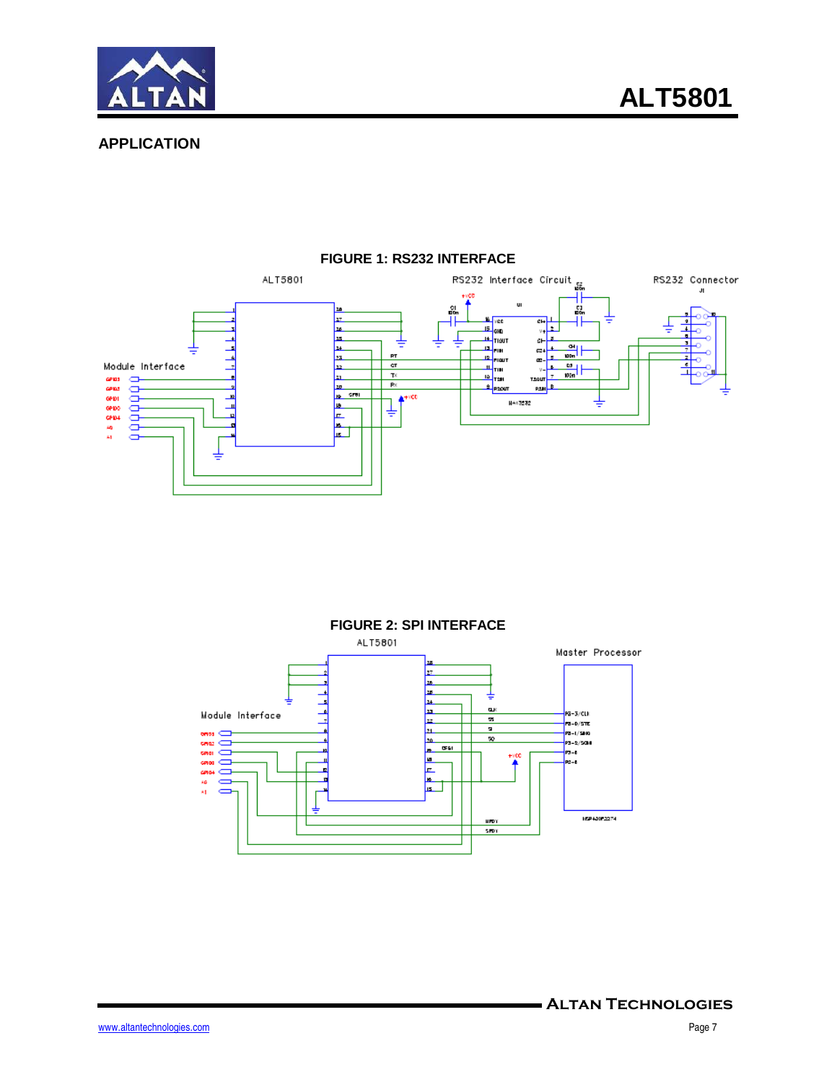

**APPLICATION** 



#### **FIGURE 1: RS232 INTERFACE**

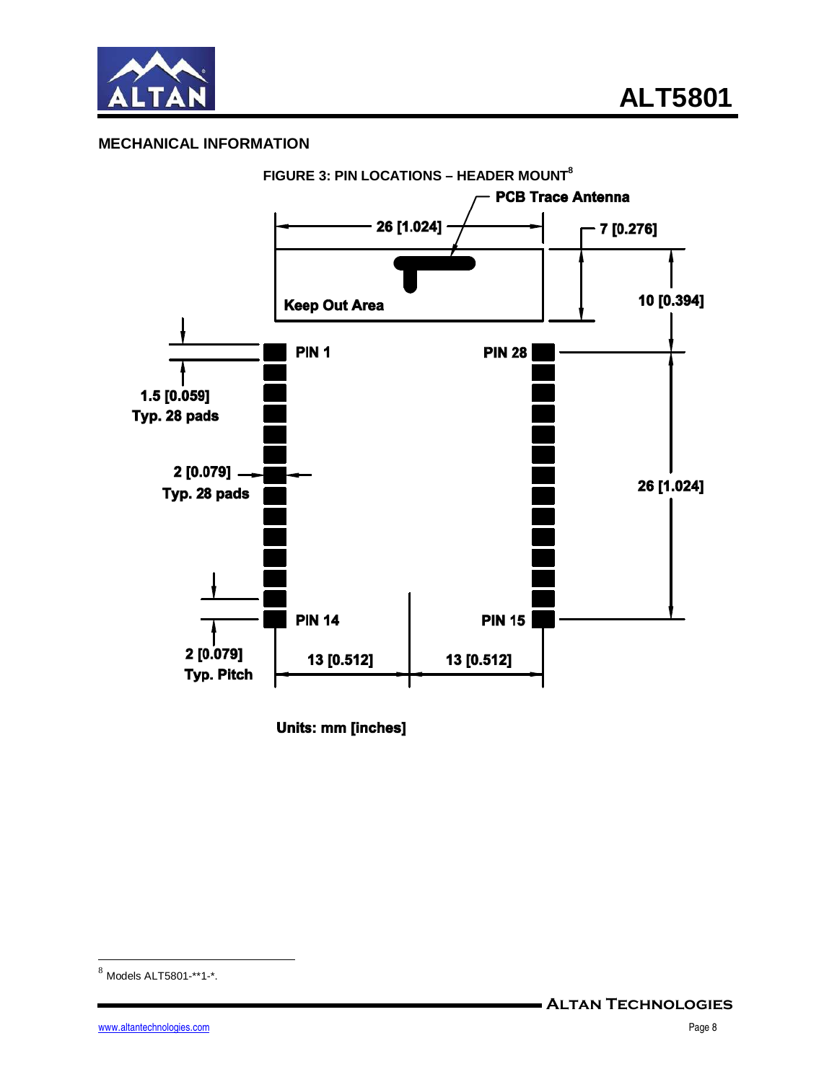

### **MECHANICAL INFORMATION**



Units: mm [inches]

<u>.</u>

 $8$  Models ALT5801-\*\*1-\*.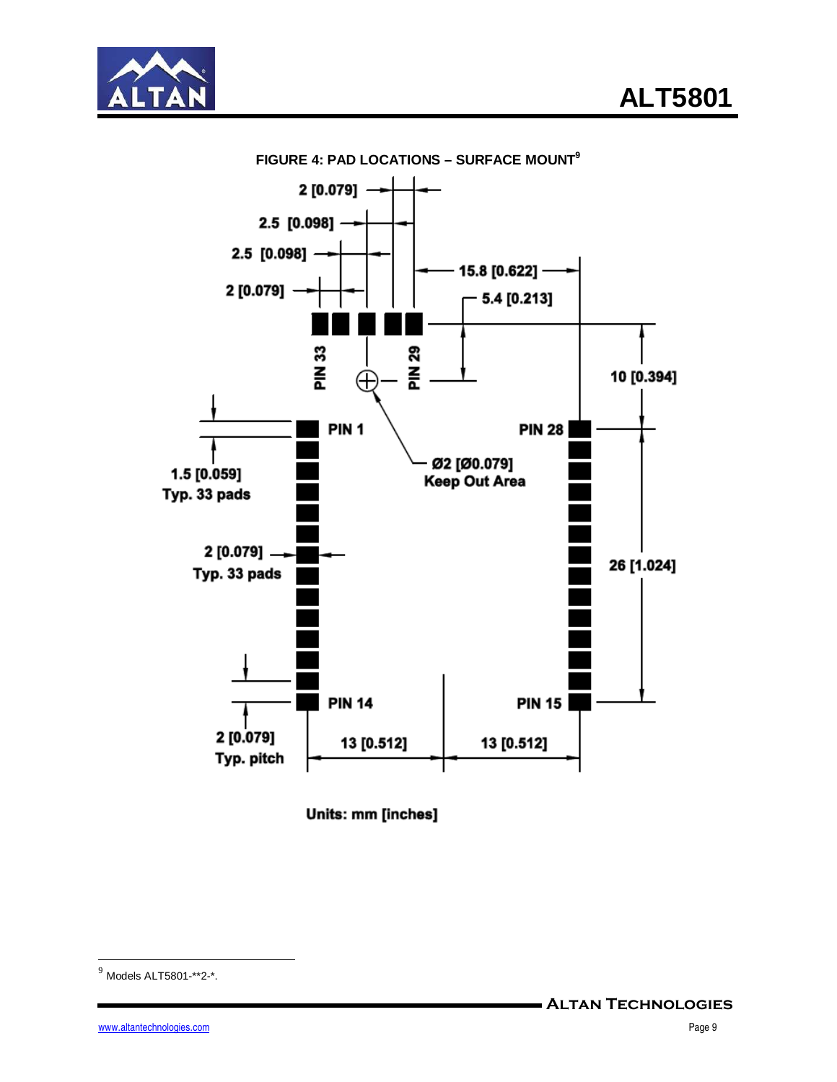



**FIGURE 4: PAD LOCATIONS – SURFACE MOUNT<sup>9</sup>**

Units: mm [inches]

<u>.</u>

 $^{9}$  Models ALT5801-\*\*2-\*.